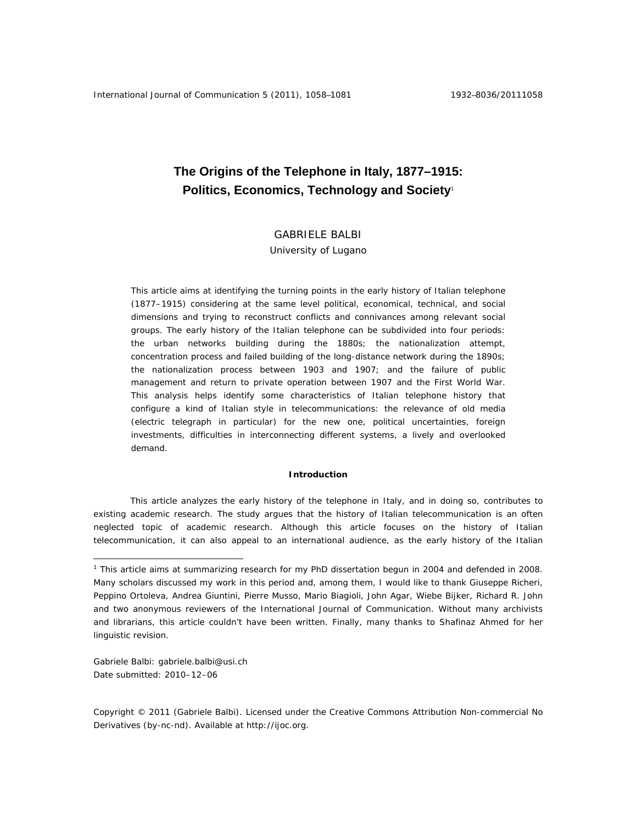# **The Origins of the Telephone in Italy, 1877–1915: Politics, Economics, Technology and Society**<sup>1</sup>

## GABRIELE BALBI

University of Lugano

This article aims at identifying the turning points in the early history of Italian telephone (1877–1915) considering at the same level political, economical, technical, and social dimensions and trying to reconstruct conflicts and connivances among relevant social groups. The early history of the Italian telephone can be subdivided into four periods: the urban networks building during the 1880s; the nationalization attempt, concentration process and failed building of the long-distance network during the 1890s; the nationalization process between 1903 and 1907; and the failure of public management and return to private operation between 1907 and the First World War. This analysis helps identify some characteristics of Italian telephone history that configure a kind of Italian style in telecommunications: the relevance of old media (electric telegraph in particular) for the new one, political uncertainties, foreign investments, difficulties in interconnecting different systems, a lively and overlooked demand.

### **Introduction**

This article analyzes the early history of the telephone in Italy, and in doing so, contributes to existing academic research. The study argues that the history of Italian telecommunication is an often neglected topic of academic research. Although this article focuses on the history of Italian telecommunication, it can also appeal to an international audience, as the early history of the Italian

Gabriele Balbi: gabriele.balbi@usi.ch Date submitted: 2010–12–06

 $\overline{a}$ 

<sup>&</sup>lt;sup>1</sup> This article aims at summarizing research for my PhD dissertation begun in 2004 and defended in 2008. Many scholars discussed my work in this period and, among them, I would like to thank Giuseppe Richeri, Peppino Ortoleva, Andrea Giuntini, Pierre Musso, Mario Biagioli, John Agar, Wiebe Bijker, Richard R. John and two anonymous reviewers of the *International Journal of Communication*. Without many archivists and librarians, this article couldn't have been written. Finally, many thanks to Shafinaz Ahmed for her linguistic revision.

Copyright © 2011 (Gabriele Balbi). Licensed under the Creative Commons Attribution Non-commercial No Derivatives (by-nc-nd). Available at http://ijoc.org.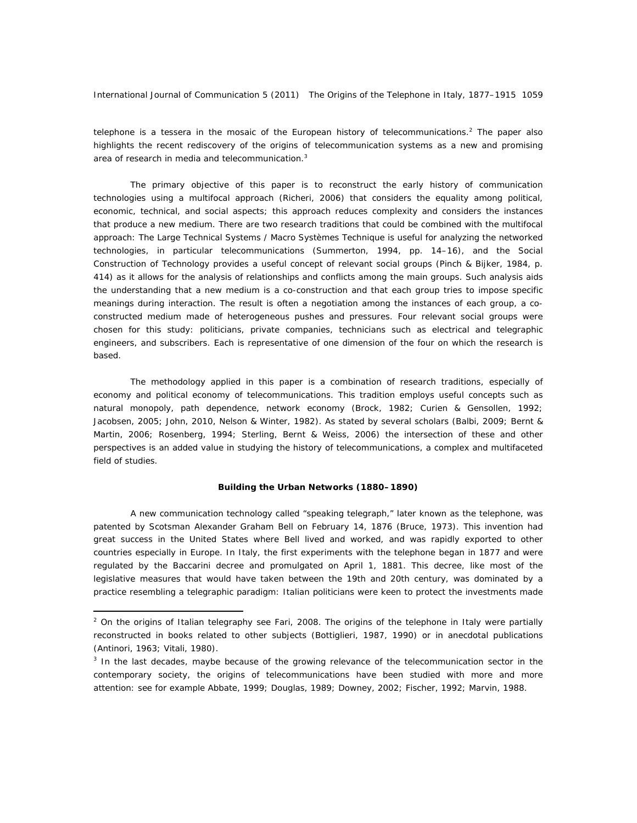telephone is a *tessera* in the mosaic of the European history of telecommunications.<sup>2</sup> The paper also highlights the recent rediscovery of the origins of telecommunication systems as a new and promising area of research in media and telecommunication.<sup>3</sup>

The primary objective of this paper is to reconstruct the early history of communication technologies using a multifocal approach (Richeri, 2006) that considers the equality among political, economic, technical, and social aspects; this approach reduces complexity and considers the instances that produce a new medium. There are two research traditions that could be combined with the multifocal approach: The Large Technical Systems / Macro Systèmes Technique is useful for analyzing the networked technologies, in particular telecommunications (Summerton, 1994, pp. 14–16), and the Social Construction of Technology provides a useful concept of relevant social groups (Pinch & Bijker, 1984, p. 414) as it allows for the analysis of relationships and conflicts among the main groups. Such analysis aids the understanding that a new medium is a co-construction and that each group tries to impose specific meanings during interaction. The result is often a negotiation among the instances of each group, a coconstructed medium made of heterogeneous pushes and pressures. Four relevant social groups were chosen for this study: politicians, private companies, technicians such as electrical and telegraphic engineers, and subscribers. Each is representative of one dimension of the four on which the research is based.

The methodology applied in this paper is a combination of research traditions, especially of economy and political economy of telecommunications. This tradition employs useful concepts such as natural monopoly, path dependence, network economy (Brock, 1982; Curien & Gensollen, 1992; Jacobsen, 2005; John, 2010, Nelson & Winter, 1982). As stated by several scholars (Balbi, 2009; Bernt & Martin, 2006; Rosenberg, 1994; Sterling, Bernt & Weiss, 2006) the intersection of these and other perspectives is an added value in studying the history of telecommunications, a complex and multifaceted field of studies.

#### **Building the Urban Networks (1880–1890)**

A new communication technology called "speaking telegraph," later known as the telephone, was patented by Scotsman Alexander Graham Bell on February 14, 1876 (Bruce, 1973). This invention had great success in the United States where Bell lived and worked, and was rapidly exported to other countries especially in Europe. In Italy, the first experiments with the telephone began in 1877 and were regulated by the Baccarini decree and promulgated on April 1, 1881. This decree, like most of the legislative measures that would have taken between the 19th and 20th century, was dominated by a practice resembling a telegraphic paradigm: Italian politicians were keen to protect the investments made

 $\overline{a}$ 

 $2$  On the origins of Italian telegraphy see Fari, 2008. The origins of the telephone in Italy were partially reconstructed in books related to other subjects (Bottiglieri, 1987, 1990) or in anecdotal publications (Antinori, 1963; Vitali, 1980).

<sup>&</sup>lt;sup>3</sup> In the last decades, maybe because of the growing relevance of the telecommunication sector in the contemporary society, the origins of telecommunications have been studied with more and more attention: see for example Abbate, 1999; Douglas, 1989; Downey, 2002; Fischer, 1992; Marvin, 1988.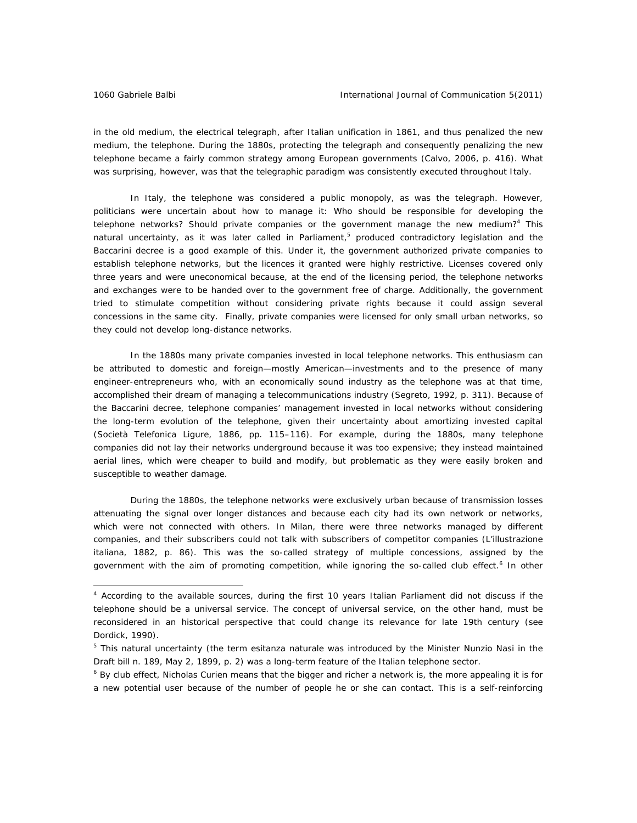$\overline{a}$ 

in the old medium, the electrical telegraph, after Italian unification in 1861, and thus penalized the new medium, the telephone. During the 1880s, protecting the telegraph and consequently penalizing the new telephone became a fairly common strategy among European governments (Calvo, 2006, p. 416). What was surprising, however, was that the telegraphic paradigm was consistently executed throughout Italy.

In Italy, the telephone was considered a public monopoly, as was the telegraph. However, politicians were uncertain about how to manage it: Who should be responsible for developing the telephone networks? Should private companies or the government manage the new medium?<sup>4</sup> This natural uncertainty, as it was later called in Parliament,<sup>5</sup> produced contradictory legislation and the Baccarini decree is a good example of this. Under it, the government authorized private companies to establish telephone networks, but the licences it granted were highly restrictive. Licenses covered only three years and were uneconomical because, at the end of the licensing period, the telephone networks and exchanges were to be handed over to the government free of charge. Additionally, the government tried to stimulate competition without considering private rights because it could assign several concessions in the same city. Finally, private companies were licensed for only small urban networks, so they could not develop long-distance networks.

In the 1880s many private companies invested in local telephone networks. This enthusiasm can be attributed to domestic and foreign—mostly American—investments and to the presence of many engineer-entrepreneurs who, with an economically sound industry as the telephone was at that time, accomplished their dream of managing a telecommunications industry (Segreto, 1992, p. 311). Because of the Baccarini decree, telephone companies' management invested in local networks without considering the long-term evolution of the telephone, given their uncertainty about amortizing invested capital (Società Telefonica Ligure, 1886, pp. 115–116). For example, during the 1880s, many telephone companies did not lay their networks underground because it was too expensive; they instead maintained aerial lines, which were cheaper to build and modify, but problematic as they were easily broken and susceptible to weather damage.

During the 1880s, the telephone networks were exclusively urban because of transmission losses attenuating the signal over longer distances and because each city had its own network or networks, which were not connected with others. In Milan, there were three networks managed by different companies, and their subscribers could not talk with subscribers of competitor companies (*L'illustrazione italiana*, 1882, p. 86). This was the so-called strategy of multiple concessions, assigned by the government with the aim of promoting competition, while ignoring the so-called club effect.<sup>6</sup> In other

<sup>4</sup> According to the available sources, during the first 10 years Italian Parliament did not discuss if the telephone should be a universal service. The concept of universal service, on the other hand, must be reconsidered in an historical perspective that could change its relevance for late 19th century (see Dordick, 1990).

<sup>5</sup> This natural uncertainty (the term *esitanza naturale* was introduced by the Minister Nunzio Nasi in the Draft bill n. 189, May 2, 1899, p. 2) was a long-term feature of the Italian telephone sector.

<sup>&</sup>lt;sup>6</sup> By club effect, Nicholas Curien means that the bigger and richer a network is, the more appealing it is for a new potential user because of the number of people he or she can contact. This is a self-reinforcing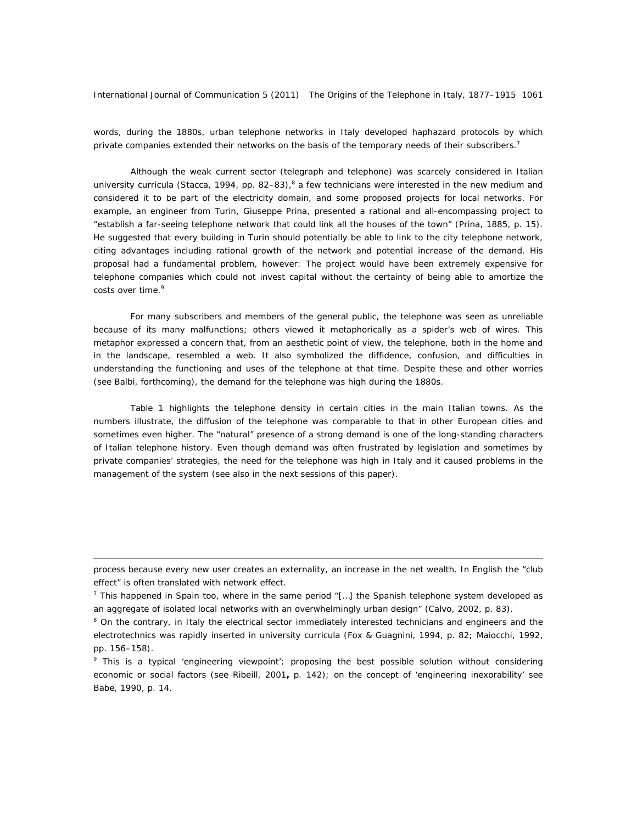words, during the 1880s, urban telephone networks in Italy developed haphazard protocols by which private companies extended their networks on the basis of the temporary needs of their subscribers.<sup>7</sup>

Although the weak current sector (telegraph and telephone) was scarcely considered in Italian university curricula (Stacca, 1994, pp. 82–83),<sup>8</sup> a few technicians were interested in the new medium and considered it to be part of the electricity domain, and some proposed projects for local networks. For example, an engineer from Turin, Giuseppe Prina, presented a rational and all-encompassing project to "establish a far-seeing telephone network that could link *all* the houses of the town" (Prina, 1885, p. 15). He suggested that every building in Turin should potentially be able to link to the city telephone network, citing advantages including rational growth of the network and potential increase of the demand. His proposal had a fundamental problem, however: The project would have been extremely expensive for telephone companies which could not invest capital without the certainty of being able to amortize the costs over time.<sup>9</sup>

For many subscribers and members of the general public, the telephone was seen as unreliable because of its many malfunctions; others viewed it metaphorically as a spider's web of wires. This metaphor expressed a concern that, from an aesthetic point of view, the telephone, both in the home and in the landscape, resembled a web. It also symbolized the diffidence, confusion, and difficulties in understanding the functioning and uses of the telephone at that time. Despite these and other worries (see Balbi, forthcoming), the demand for the telephone was high during the 1880s.

Table 1 highlights the telephone density in certain cities in the main Italian towns. As the numbers illustrate, the diffusion of the telephone was comparable to that in other European cities and sometimes even higher. The "natural" presence of a strong demand is one of the long-standing characters of Italian telephone history. Even though demand was often frustrated by legislation and sometimes by private companies' strategies, the need for the telephone was high in Italy and it caused problems in the management of the system (see also in the next sessions of this paper).

 $\overline{a}$ 

process because every new user creates an externality, an increase in the net wealth. In English the "club effect" is often translated with network effect.

<sup>&</sup>lt;sup>7</sup> This happened in Spain too, where in the same period  $T_{\text{m}}$  the Spanish telephone system developed as an aggregate of isolated local networks with an overwhelmingly urban design" (Calvo, 2002, p. 83).

<sup>&</sup>lt;sup>8</sup> On the contrary, in Italy the electrical sector immediately interested technicians and engineers and the electrotechnics was rapidly inserted in university curricula (Fox & Guagnini, 1994, p. 82; Maiocchi, 1992, pp. 156–158).

<sup>&</sup>lt;sup>9</sup> This is a typical 'engineering viewpoint'; proposing the best possible solution without considering economic or social factors (see Ribeill, 2001**,** p. 142); on the concept of 'engineering inexorability' see Babe, 1990, p. 14.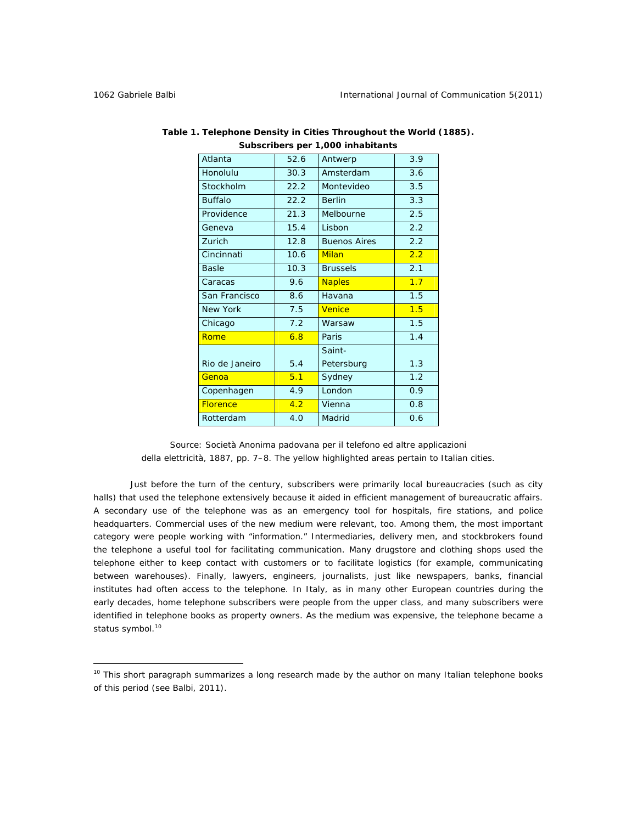$\overline{a}$ 

| 3.9                                                                                                                                                                                                                                                                                                                                                                                                 |
|-----------------------------------------------------------------------------------------------------------------------------------------------------------------------------------------------------------------------------------------------------------------------------------------------------------------------------------------------------------------------------------------------------|
| 3.6                                                                                                                                                                                                                                                                                                                                                                                                 |
| 3.5                                                                                                                                                                                                                                                                                                                                                                                                 |
| 3.3                                                                                                                                                                                                                                                                                                                                                                                                 |
| 2.5                                                                                                                                                                                                                                                                                                                                                                                                 |
| 2.2                                                                                                                                                                                                                                                                                                                                                                                                 |
| 2.2                                                                                                                                                                                                                                                                                                                                                                                                 |
| 2.2                                                                                                                                                                                                                                                                                                                                                                                                 |
| 2.1                                                                                                                                                                                                                                                                                                                                                                                                 |
| 1.7                                                                                                                                                                                                                                                                                                                                                                                                 |
| 1.5                                                                                                                                                                                                                                                                                                                                                                                                 |
| 1.5                                                                                                                                                                                                                                                                                                                                                                                                 |
| 1.5                                                                                                                                                                                                                                                                                                                                                                                                 |
| 1.4                                                                                                                                                                                                                                                                                                                                                                                                 |
|                                                                                                                                                                                                                                                                                                                                                                                                     |
| 1.3                                                                                                                                                                                                                                                                                                                                                                                                 |
| 1.2                                                                                                                                                                                                                                                                                                                                                                                                 |
| 0.9                                                                                                                                                                                                                                                                                                                                                                                                 |
| 0.8                                                                                                                                                                                                                                                                                                                                                                                                 |
| 0.6                                                                                                                                                                                                                                                                                                                                                                                                 |
|                                                                                                                                                                                                                                                                                                                                                                                                     |
| 52.6<br>Antwerp<br>30.3<br>Amsterdam<br>22.2<br>Montevideo<br>22.2<br><b>Berlin</b><br>21.3<br>Melbourne<br>15.4<br>Lisbon<br>12.8<br><b>Buenos Aires</b><br>10.6<br>Milan<br>10.3<br><b>Brussels</b><br>9.6<br><b>Naples</b><br>8.6<br>Havana<br>7.5<br>Venice<br>7.2<br>Warsaw<br>6.8<br>Paris<br>Saint-<br>5.4<br>Petersburg<br>5.1<br>Sydney<br>London<br>4.9<br>4.2<br>Vienna<br>Madrid<br>4.0 |

*Table 1. Telephone Density in Cities Throughout the World (1885). Subscribers per 1,000 inhabitants* 

Source: Società Anonima padovana per il telefono ed altre applicazioni della elettricità, 1887, pp. 7–8. The yellow highlighted areas pertain to Italian cities.

Just before the turn of the century, subscribers were primarily local bureaucracies (such as city halls) that used the telephone extensively because it aided in efficient management of bureaucratic affairs. A secondary use of the telephone was as an emergency tool for hospitals, fire stations, and police headquarters. Commercial uses of the new medium were relevant, too. Among them, the most important category were people working with "information." Intermediaries, delivery men, and stockbrokers found the telephone a useful tool for facilitating communication. Many drugstore and clothing shops used the telephone either to keep contact with customers or to facilitate logistics (for example, communicating between warehouses). Finally, lawyers, engineers, journalists, just like newspapers, banks, financial institutes had often access to the telephone. In Italy, as in many other European countries during the early decades, home telephone subscribers were people from the upper class, and many subscribers were identified in telephone books as property owners. As the medium was expensive, the telephone became a status symbol.<sup>10</sup>

<sup>&</sup>lt;sup>10</sup> This short paragraph summarizes a long research made by the author on many Italian telephone books of this period (see Balbi, 2011).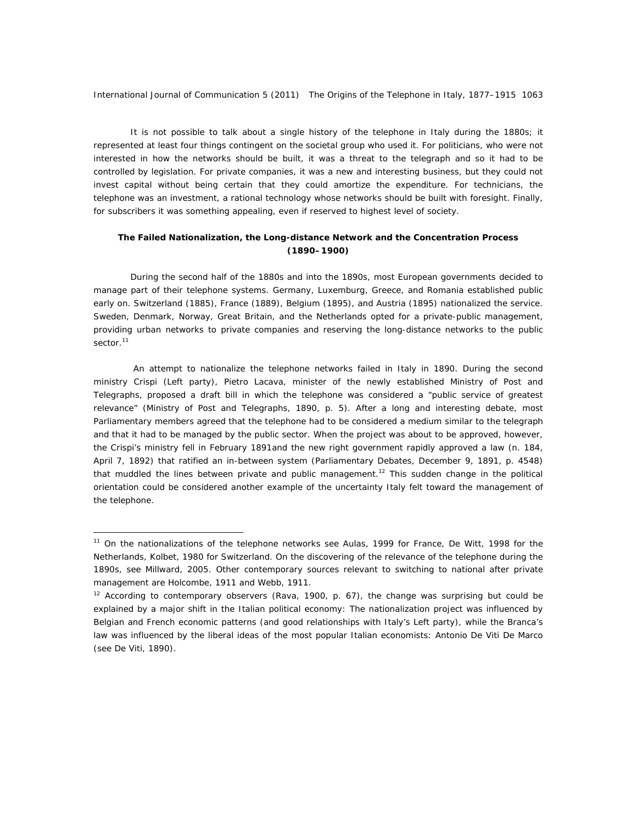It is not possible to talk about a single history of the telephone in Italy during the 1880s; it represented at least four things contingent on the societal group who used it. For politicians, who were not interested in how the networks should be built, it was a threat to the telegraph and so it had to be controlled by legislation. For private companies, it was a new and interesting business, but they could not invest capital without being certain that they could amortize the expenditure. For technicians, the telephone was an investment, a rational technology whose networks should be built with foresight. Finally, for subscribers it was something appealing, even if reserved to highest level of society.

## **The Failed Nationalization, the Long-distance Network and the Concentration Process (1890–1900)**

During the second half of the 1880s and into the 1890s, most European governments decided to manage part of their telephone systems. Germany, Luxemburg, Greece, and Romania established public early on. Switzerland (1885), France (1889), Belgium (1895), and Austria (1895) nationalized the service. Sweden, Denmark, Norway, Great Britain, and the Netherlands opted for a private-public management, providing urban networks to private companies and reserving the long-distance networks to the public sector.<sup>11</sup>

 An attempt to nationalize the telephone networks failed in Italy in 1890. During the second ministry Crispi (Left party), Pietro Lacava, minister of the newly established Ministry of Post and Telegraphs, proposed a draft bill in which the telephone was considered a "public service of greatest relevance" (Ministry of Post and Telegraphs, 1890, p. 5). After a long and interesting debate, most Parliamentary members agreed that the telephone had to be considered a medium similar to the telegraph and that it had to be managed by the public sector. When the project was about to be approved, however, the Crispi's ministry fell in February 1891and the new right government rapidly approved a law (n. 184, April 7, 1892) that ratified an in-between system (Parliamentary Debates, December 9, 1891, p. 4548) that muddled the lines between private and public management.<sup>12</sup> This sudden change in the political orientation could be considered another example of the uncertainty Italy felt toward the management of the telephone.

 $\overline{a}$ 

<sup>&</sup>lt;sup>11</sup> On the nationalizations of the telephone networks see Aulas, 1999 for France, De Witt, 1998 for the Netherlands, Kolbet, 1980 for Switzerland. On the discovering of the relevance of the telephone during the 1890s, see Millward, 2005. Other contemporary sources relevant to switching to national after private management are Holcombe, 1911 and Webb, 1911.

<sup>&</sup>lt;sup>12</sup> According to contemporary observers (Rava, 1900, p.  $67$ ), the change was surprising but could be explained by a major shift in the Italian political economy: The nationalization project was influenced by Belgian and French economic patterns (and good relationships with Italy's Left party), while the Branca's law was influenced by the liberal ideas of the most popular Italian economists: Antonio De Viti De Marco (see De Viti, 1890).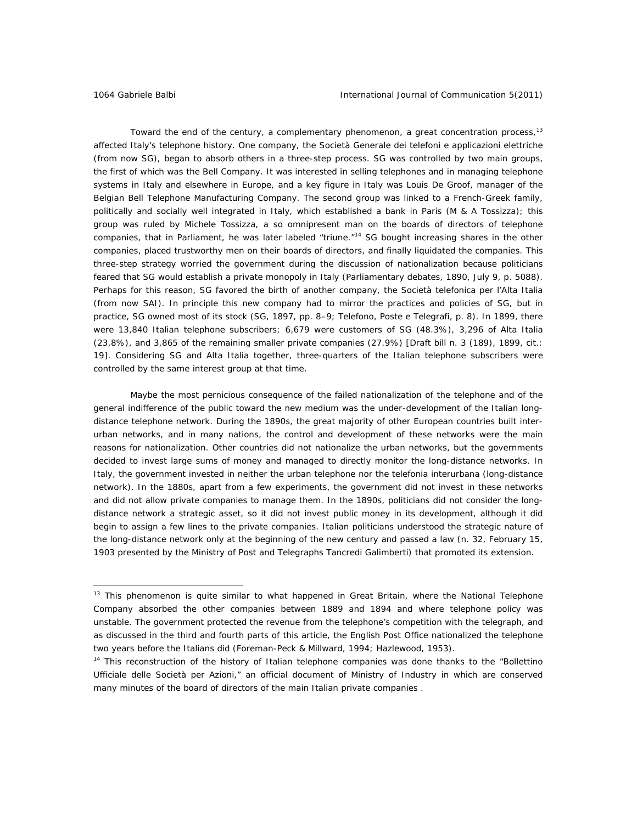$\overline{a}$ 

Toward the end of the century, a complementary phenomenon, a great concentration process,<sup>13</sup> affected Italy's telephone history. One company, the *Società Generale dei telefoni e applicazioni elettriche*  (from now SG), began to absorb others in a three-step process. SG was controlled by two main groups, the first of which was the Bell Company. It was interested in selling telephones and in managing telephone systems in Italy and elsewhere in Europe, and a key figure in Italy was Louis De Groof, manager of the Belgian Bell Telephone Manufacturing Company. The second group was linked to a French-Greek family, politically and socially well integrated in Italy, which established a bank in Paris (M & A Tossizza); this group was ruled by Michele Tossizza, a so omnipresent man on the boards of directors of telephone companies, that in Parliament, he was later labeled "triune."<sup>14</sup> SG bought increasing shares in the other companies, placed trustworthy men on their boards of directors, and finally liquidated the companies. This three-step strategy worried the government during the discussion of nationalization because politicians feared that SG would establish a private monopoly in Italy (Parliamentary debates, 1890, July 9, p. 5088). Perhaps for this reason, SG favored the birth of another company, the *Società telefonica per l'Alta Italia*  (from now SAI). In principle this new company had to mirror the practices and policies of SG, but in practice, SG owned most of its stock (SG, 1897, pp. 8–9; *Telefono, Poste e Telegrafi*, p. 8). In 1899, there were 13,840 Italian telephone subscribers; 6,679 were customers of SG (48.3%), 3,296 of Alta Italia (23,8%), and 3,865 of the remaining smaller private companies (27.9%) [Draft bill n. 3 (189), 1899, cit.: 19]. Considering SG and Alta Italia together, three-quarters of the Italian telephone subscribers were controlled by the same interest group at that time.

Maybe the most pernicious consequence of the failed nationalization of the telephone and of the general indifference of the public toward the new medium was the under-development of the Italian longdistance telephone network. During the 1890s, the great majority of other European countries built interurban networks, and in many nations, the control and development of these networks were the main reasons for nationalization. Other countries did not nationalize the urban networks, but the governments decided to invest large sums of money and managed to directly monitor the long-distance networks. In Italy, the government invested in neither the urban telephone nor the *telefonia interurbana* (long-distance network). In the 1880s, apart from a few experiments, the government did not invest in these networks and did not allow private companies to manage them. In the 1890s, politicians did not consider the longdistance network a strategic asset, so it did not invest public money in its development, although it did begin to assign a few lines to the private companies. Italian politicians understood the strategic nature of the long-distance network only at the beginning of the new century and passed a law (n. 32, February 15, 1903 presented by the Ministry of Post and Telegraphs Tancredi Galimberti) that promoted its extension.

<sup>&</sup>lt;sup>13</sup> This phenomenon is quite similar to what happened in Great Britain, where the National Telephone Company absorbed the other companies between 1889 and 1894 and where telephone policy was unstable. The government protected the revenue from the telephone's competition with the telegraph, and as discussed in the third and fourth parts of this article, the English Post Office nationalized the telephone two years before the Italians did (Foreman-Peck & Millward, 1994; Hazlewood, 1953).

<sup>&</sup>lt;sup>14</sup> This reconstruction of the history of Italian telephone companies was done thanks to the "Bollettino" Ufficiale delle Società per Azioni," an official document of Ministry of Industry in which are conserved many minutes of the board of directors of the main Italian private companies .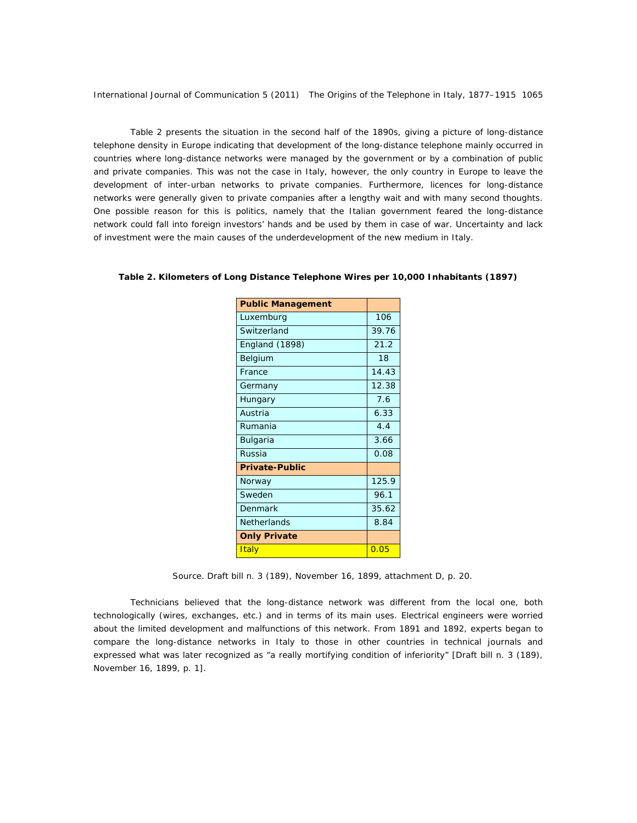Table 2 presents the situation in the second half of the 1890s, giving a picture of long-distance telephone density in Europe indicating that development of the long-distance telephone mainly occurred in countries where long-distance networks were managed by the government or by a combination of public and private companies. This was not the case in Italy, however, the only country in Europe to leave the development of inter-urban networks to private companies. Furthermore, licences for long-distance networks were generally given to private companies after a lengthy wait and with many second thoughts. One possible reason for this is politics, namely that the Italian government feared the long-distance network could fall into foreign investors' hands and be used by them in case of war. Uncertainty and lack of investment were the main causes of the underdevelopment of the new medium in Italy.

| <b>Public Management</b> |       |
|--------------------------|-------|
| Luxemburg                | 106   |
| Switzerland              | 39.76 |
| England (1898)           | 21.2  |
| Belgium                  | 18    |
| France                   | 14.43 |
| Germany                  | 12.38 |
| Hungary                  | 7.6   |
| Austria                  | 6.33  |
| Rumania                  | 4.4   |
| <b>Bulgaria</b>          | 3.66  |
| Russia                   | 0.08  |
| Private-Public           |       |
| Norway                   | 125.9 |
| Sweden                   | 96.1  |
| Denmark                  | 35.62 |
| Netherlands              | 8.84  |
| <b>Only Private</b>      |       |
| <b>Italy</b>             | 0.05  |

*Table 2. Kilometers of Long Distance Telephone Wires per 10,000 Inhabitants (1897)* 

Source. *Draft bill n. 3 (189)*, November 16, 1899, attachment D, p. 20.

Technicians believed that the long-distance network was different from the local one, both technologically (wires, exchanges, etc.) and in terms of its main uses. Electrical engineers were worried about the limited development and malfunctions of this network. From 1891 and 1892, experts began to compare the long-distance networks in Italy to those in other countries in technical journals and expressed what was later recognized as "a really mortifying condition of inferiority" [*Draft bill n. 3 (189)*, November 16, 1899, p. 1].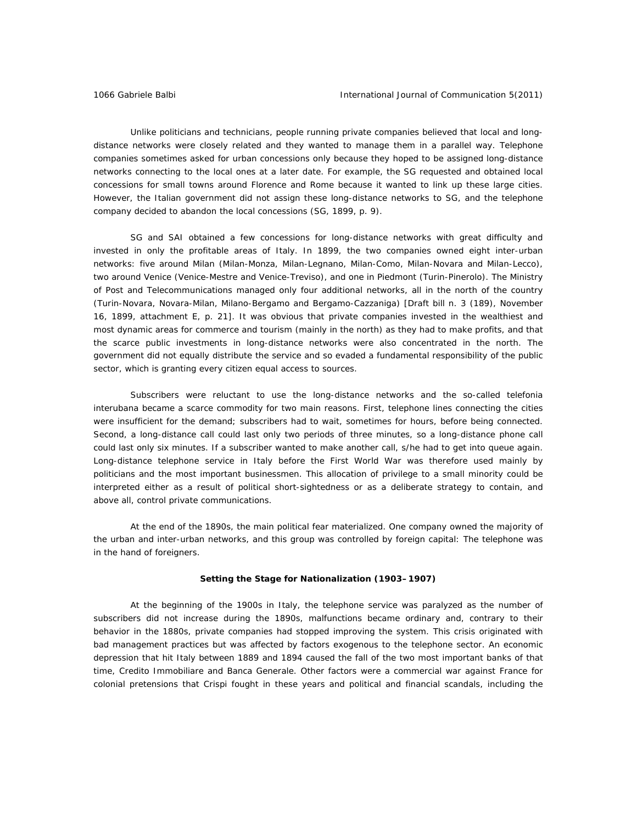Unlike politicians and technicians, people running private companies believed that local and longdistance networks were closely related and they wanted to manage them in a parallel way. Telephone companies sometimes asked for urban concessions only because they hoped to be assigned long-distance networks connecting to the local ones at a later date. For example, the SG requested and obtained local concessions for small towns around Florence and Rome because it wanted to link up these large cities. However, the Italian government did not assign these long-distance networks to SG, and the telephone company decided to abandon the local concessions (SG, 1899, p. 9).

SG and SAI obtained a few concessions for long-distance networks with great difficulty and invested in only the profitable areas of Italy. In 1899, the two companies owned eight inter-urban networks: five around Milan (Milan-Monza, Milan-Legnano, Milan-Como, Milan-Novara and Milan-Lecco), two around Venice (Venice-Mestre and Venice-Treviso), and one in Piedmont (Turin-Pinerolo). The Ministry of Post and Telecommunications managed only four additional networks, all in the north of the country (Turin-Novara, Novara-Milan, Milano-Bergamo and Bergamo-Cazzaniga) [Draft bill n. 3 (189), November 16, 1899, attachment E, p. 21]. It was obvious that private companies invested in the wealthiest and most dynamic areas for commerce and tourism (mainly in the north) as they had to make profits, and that the scarce public investments in long-distance networks were also concentrated in the north. The government did not equally distribute the service and so evaded a fundamental responsibility of the public sector, which is granting every citizen equal access to sources.

Subscribers were reluctant to use the long-distance networks and the so-called *telefonia interubana* became a scarce commodity for two main reasons. First, telephone lines connecting the cities were insufficient for the demand; subscribers had to wait, sometimes for hours, before being connected. Second, a long-distance call could last only two periods of three minutes, so a long-distance phone call could last only six minutes. If a subscriber wanted to make another call, s/he had to get into queue again. Long-distance telephone service in Italy before the First World War was therefore used mainly by politicians and the most important businessmen. This allocation of privilege to a small minority could be interpreted either as a result of political short-sightedness or as a deliberate strategy to contain, and above all, control private communications.

At the end of the 1890s, the main political fear materialized. One company owned the majority of the urban and inter-urban networks, and this group was controlled by foreign capital: The telephone was in the hand of foreigners.

#### **Setting the Stage for Nationalization (1903–1907)**

At the beginning of the 1900s in Italy, the telephone service was paralyzed as the number of subscribers did not increase during the 1890s, malfunctions became ordinary and, contrary to their behavior in the 1880s, private companies had stopped improving the system. This crisis originated with bad management practices but was affected by factors exogenous to the telephone sector. An economic depression that hit Italy between 1889 and 1894 caused the fall of the two most important banks of that time, Credito Immobiliare and Banca Generale. Other factors were a commercial war against France for colonial pretensions that Crispi fought in these years and political and financial scandals, including the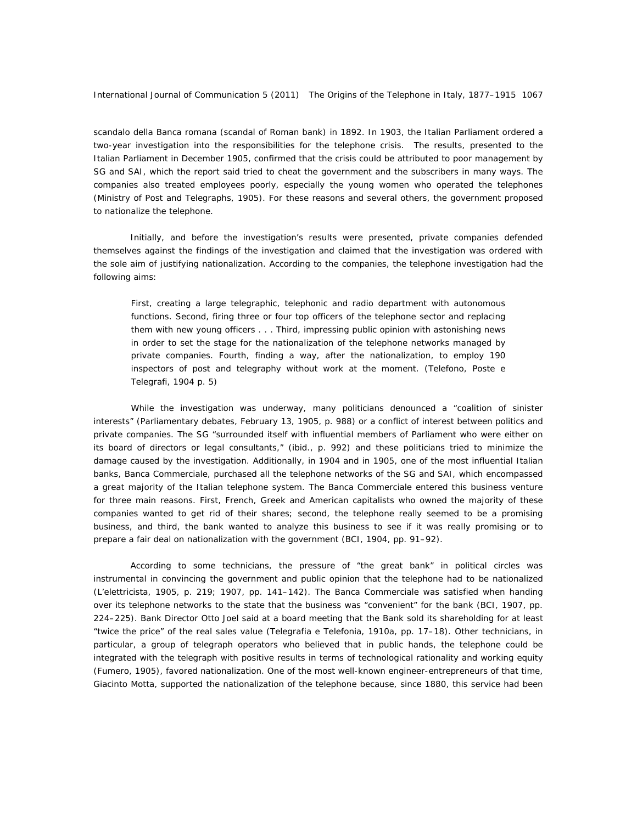*scandalo della Banca romana* (scandal of Roman bank) in 1892. In 1903, the Italian Parliament ordered a two-year investigation into the responsibilities for the telephone crisis. The results, presented to the Italian Parliament in December 1905, confirmed that the crisis could be attributed to poor management by SG and SAI, which the report said tried to cheat the government and the subscribers in many ways. The companies also treated employees poorly, especially the young women who operated the telephones (Ministry of Post and Telegraphs, 1905). For these reasons and several others, the government proposed to nationalize the telephone.

Initially, and before the investigation's results were presented, private companies defended themselves against the findings of the investigation and claimed that the investigation was ordered with the sole aim of justifying nationalization. According to the companies, the telephone investigation had the following aims:

First, creating a large telegraphic, telephonic and radio department with autonomous functions. Second, firing three or four top officers of the telephone sector and replacing them with new young officers . . . Third, impressing public opinion with astonishing news in order to set the stage for the nationalization of the telephone networks managed by private companies. Fourth, finding a way, after the nationalization, to employ 190 inspectors of post and telegraphy without work at the moment. (*Telefono, Poste e Telegrafi*, 1904 p. 5)

While the investigation was underway, many politicians denounced a "coalition of sinister interests" (Parliamentary debates, February 13, 1905, p. 988) or a conflict of interest between politics and private companies. The SG "surrounded itself with influential members of Parliament who were either on its board of directors or legal consultants," (ibid., p. 992) and these politicians tried to minimize the damage caused by the investigation. Additionally, in 1904 and in 1905, one of the most influential Italian banks, Banca Commerciale, purchased all the telephone networks of the SG and SAI, which encompassed a great majority of the Italian telephone system. The Banca Commerciale entered this business venture for three main reasons. First, French, Greek and American capitalists who owned the majority of these companies wanted to get rid of their shares; second, the telephone really seemed to be a promising business, and third, the bank wanted to analyze this business to see if it was really promising or to prepare a fair deal on nationalization with the government (BCI, 1904, pp. 91–92).

According to some technicians, the pressure of "the great bank" in political circles was instrumental in convincing the government and public opinion that the telephone had to be nationalized (*L'elettricista*, 1905, p. 219; 1907, pp. 141–142). The Banca Commerciale was satisfied when handing over its telephone networks to the state that the business was "convenient" for the bank (BCI, 1907, pp. 224–225). Bank Director Otto Joel said at a board meeting that the Bank sold its shareholding for at least "twice the price" of the real sales value (*Telegrafia e Telefonia*, 1910a, pp. 17–18). Other technicians, in particular, a group of telegraph operators who believed that in public hands, the telephone could be integrated with the telegraph with positive results in terms of technological rationality and working equity (Fumero, 1905), favored nationalization. One of the most well-known engineer-entrepreneurs of that time, Giacinto Motta, supported the nationalization of the telephone because, since 1880, this service had been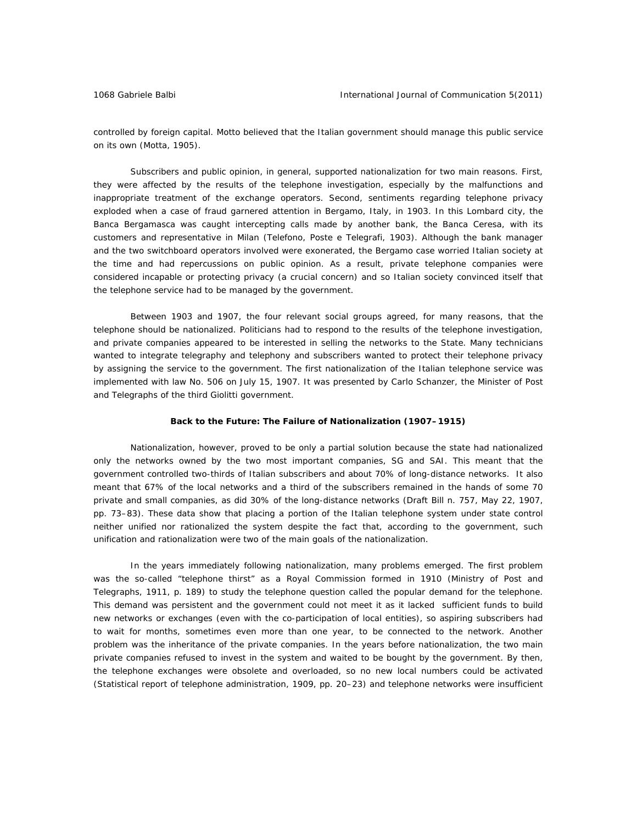controlled by foreign capital. Motto believed that the Italian government should manage this public service on its own (Motta, 1905).

Subscribers and public opinion, in general, supported nationalization for two main reasons. First, they were affected by the results of the telephone investigation, especially by the malfunctions and inappropriate treatment of the exchange operators. Second, sentiments regarding telephone privacy exploded when a case of fraud garnered attention in Bergamo, Italy, in 1903. In this Lombard city, the Banca Bergamasca was caught intercepting calls made by another bank, the Banca Ceresa, with its customers and representative in Milan (*Telefono, Poste e Telegrafi*, 1903). Although the bank manager and the two switchboard operators involved were exonerated, the Bergamo case worried Italian society at the time and had repercussions on public opinion. As a result, private telephone companies were considered incapable or protecting privacy (a crucial concern) and so Italian society convinced itself that the telephone service had to be managed by the government.

Between 1903 and 1907, the four relevant social groups agreed, for many reasons, that the telephone should be nationalized. Politicians had to respond to the results of the telephone investigation, and private companies appeared to be interested in selling the networks to the State. Many technicians wanted to integrate telegraphy and telephony and subscribers wanted to protect their telephone privacy by assigning the service to the government. The first nationalization of the Italian telephone service was implemented with law No. 506 on July 15, 1907. It was presented by Carlo Schanzer, the Minister of Post and Telegraphs of the third Giolitti government.

### **Back to the Future: The Failure of Nationalization (1907–1915)**

Nationalization, however, proved to be only a partial solution because the state had nationalized only the networks owned by the two most important companies, SG and SAI. This meant that the government controlled two-thirds of Italian subscribers and about 70% of long-distance networks. It also meant that 67% of the local networks and a third of the subscribers remained in the hands of some 70 private and small companies, as did 30% of the long-distance networks (Draft Bill n. 757, May 22, 1907, pp. 73–83). These data show that placing a portion of the Italian telephone system under state control neither unified nor rationalized the system despite the fact that, according to the government, such unification and rationalization were two of the main goals of the nationalization.

In the years immediately following nationalization, many problems emerged. The first problem was the so-called "telephone thirst" as a Royal Commission formed in 1910 (Ministry of Post and Telegraphs, 1911, p. 189) to study the telephone question called the popular demand for the telephone. This demand was persistent and the government could not meet it as it lacked sufficient funds to build new networks or exchanges (even with the co-participation of local entities), so aspiring subscribers had to wait for months, sometimes even more than one year, to be connected to the network. Another problem was the inheritance of the private companies. In the years before nationalization, the two main private companies refused to invest in the system and waited to be bought by the government. By then, the telephone exchanges were obsolete and overloaded, so no new local numbers could be activated (Statistical report of telephone administration, 1909, pp. 20–23) and telephone networks were insufficient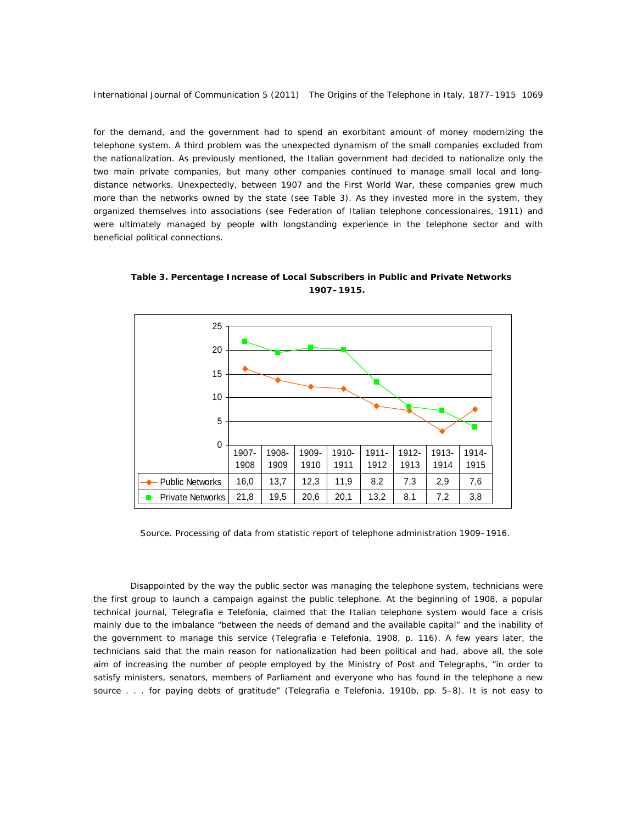for the demand, and the government had to spend an exorbitant amount of money modernizing the telephone system. A third problem was the unexpected dynamism of the small companies excluded from the nationalization. As previously mentioned, the Italian government had decided to nationalize only the two main private companies, but many other companies continued to manage small local and longdistance networks. Unexpectedly, between 1907 and the First World War, these companies grew much more than the networks owned by the state (see Table 3). As they invested more in the system, they organized themselves into associations (see Federation of Italian telephone concessionaires, 1911) and were ultimately managed by people with longstanding experience in the telephone sector and with beneficial political connections.

0 5 10 15 20 25 Public Networks | 16,0 | 13,7 | 12,3 | 11,9 | 8,2 | 7,3 | 2,9 | 7,6 Private Networks 21,8 19,5 20,6 20,1 13,2 8,1 7,2 3,8 1907- 1908 1908- 1909 1909- 1910 1910- 1911 1911- 1912 1912- 1913 1913- 1914 1914- 1915

*Table 3. Percentage Increase of Local Subscribers in Public and Private Networks 1907–1915.* 

Source. Processing of data from statistic report of telephone administration 1909–1916.

Disappointed by the way the public sector was managing the telephone system, technicians were the first group to launch a campaign against the public telephone. At the beginning of 1908, a popular technical journal, *Telegrafia e Telefonia*, claimed that the Italian telephone system would face a crisis mainly due to the imbalance "between the needs of demand and the available capital" and the inability of the government to manage this service (*Telegrafia e Telefonia*, 1908, p. 116). A few years later, the technicians said that the main reason for nationalization had been political and had, above all, the sole aim of increasing the number of people employed by the Ministry of Post and Telegraphs, "in order to satisfy ministers, senators, members of Parliament and everyone who has found in the telephone a new source . . . for paying debts of gratitude" (*Telegrafia e Telefonia*, 1910b, pp. 5–8). It is not easy to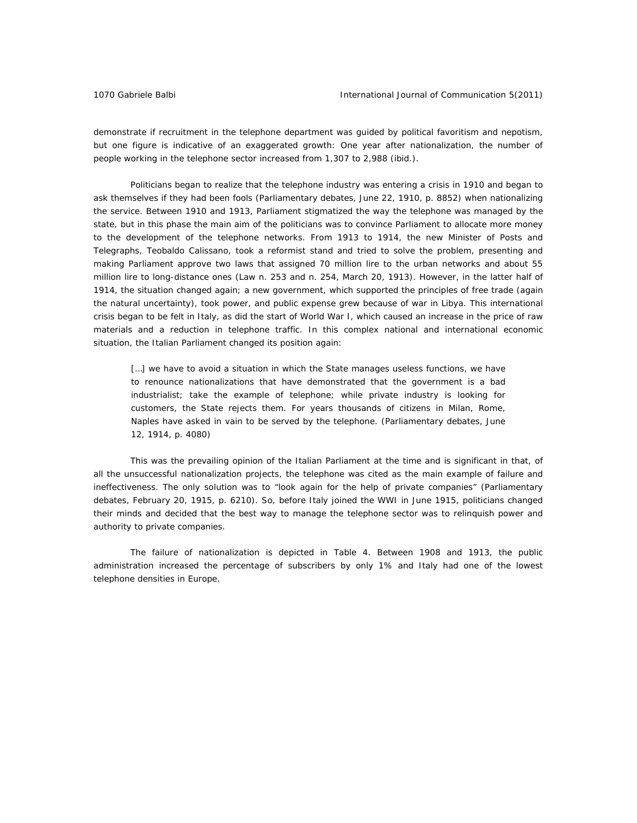demonstrate if recruitment in the telephone department was guided by political favoritism and nepotism, but one figure is indicative of an exaggerated growth: One year after nationalization, the number of people working in the telephone sector increased from 1,307 to 2,988 (ibid.).

Politicians began to realize that the telephone industry was entering a crisis in 1910 and began to ask themselves if they had been fools (Parliamentary debates, June 22, 1910, p. 8852) when nationalizing the service. Between 1910 and 1913, Parliament stigmatized the way the telephone was managed by the state, but in this phase the main aim of the politicians was to convince Parliament to allocate more money to the development of the telephone networks. From 1913 to 1914, the new Minister of Posts and Telegraphs, Teobaldo Calissano, took a reformist stand and tried to solve the problem, presenting and making Parliament approve two laws that assigned 70 million lire to the urban networks and about 55 million lire to long-distance ones (Law n. 253 and n. 254, March 20, 1913). However, in the latter half of 1914, the situation changed again; a new government, which supported the principles of free trade (again the natural uncertainty), took power, and public expense grew because of war in Libya. This international crisis began to be felt in Italy, as did the start of World War I, which caused an increase in the price of raw materials and a reduction in telephone traffic. In this complex national and international economic situation, the Italian Parliament changed its position again:

[...] we have to avoid a situation in which the State manages useless functions, we have to renounce nationalizations that have demonstrated that the government is a bad industrialist; take the example of telephone; while private industry is looking for customers, the State rejects them. For years thousands of citizens in Milan, Rome, Naples have asked in vain to be served by the telephone. (Parliamentary debates, June 12, 1914, p. 4080)

This was the prevailing opinion of the Italian Parliament at the time and is significant in that, of all the unsuccessful nationalization projects, the telephone was cited as the main example of failure and ineffectiveness. The only solution was to "look again for the help of private companies" (Parliamentary debates, February 20, 1915, p. 6210). So, before Italy joined the WWI in June 1915, politicians changed their minds and decided that the best way to manage the telephone sector was to relinquish power and authority to private companies.

The failure of nationalization is depicted in Table 4. Between 1908 and 1913, the public administration increased the percentage of subscribers by only 1% and Italy had one of the lowest telephone densities in Europe.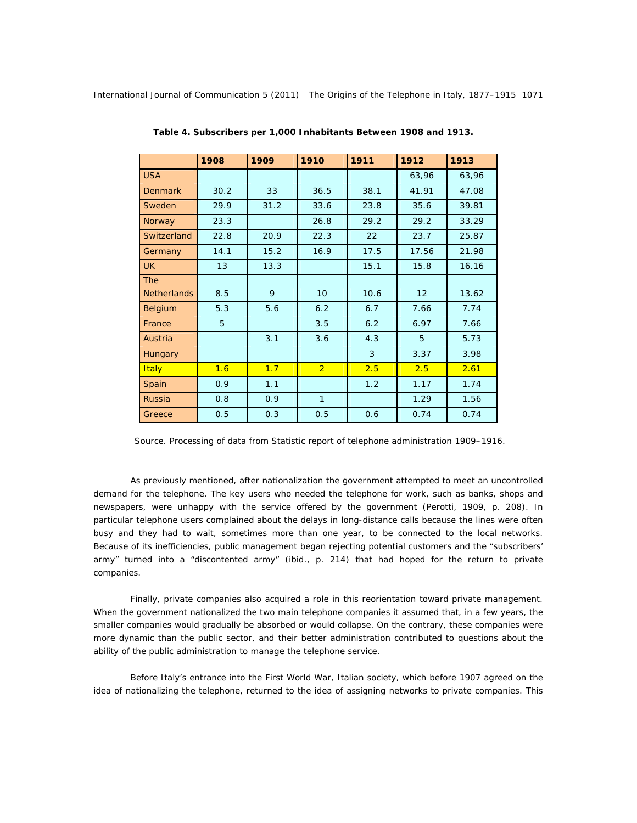|                    | 1908 | 1909 | 1910            | 1911 | 1912  | 1913  |
|--------------------|------|------|-----------------|------|-------|-------|
| <b>USA</b>         |      |      |                 |      | 63,96 | 63,96 |
| <b>Denmark</b>     | 30.2 | 33   | 36.5            | 38.1 | 41.91 | 47.08 |
| Sweden             | 29.9 | 31.2 | 33.6            | 23.8 | 35.6  | 39.81 |
| Norway             | 23.3 |      | 26.8            | 29.2 | 29.2  | 33.29 |
| Switzerland        | 22.8 | 20.9 | 22.3            | 22   | 23.7  | 25.87 |
| Germany            | 14.1 | 15.2 | 16.9            | 17.5 | 17.56 | 21.98 |
| <b>UK</b>          | 13   | 13.3 |                 | 15.1 | 15.8  | 16.16 |
| <b>The</b>         |      |      |                 |      |       |       |
| <b>Netherlands</b> | 8.5  | 9    | 10 <sup>1</sup> | 10.6 | 12    | 13.62 |
| Belgium            | 5.3  | 5.6  | 6.2             | 6.7  | 7.66  | 7.74  |
| France             | 5    |      | 3.5             | 6.2  | 6.97  | 7.66  |
| Austria            |      | 3.1  | 3.6             | 4.3  | 5     | 5.73  |
| <b>Hungary</b>     |      |      |                 | 3    | 3.37  | 3.98  |
| Italy              | 1.6  | 1.7  | $\overline{2}$  | 2.5  | 2.5   | 2.61  |
| Spain              | 0.9  | 1.1  |                 | 1.2  | 1.17  | 1.74  |
| <b>Russia</b>      | 0.8  | 0.9  | $\mathbf{1}$    |      | 1.29  | 1.56  |
| Greece             | 0.5  | 0.3  | 0.5             | 0.6  | 0.74  | 0.74  |

 *Table 4. Subscribers per 1,000 Inhabitants Between 1908 and 1913.* 

Source. Processing of data from Statistic report of telephone administration 1909–1916.

As previously mentioned, after nationalization the government attempted to meet an uncontrolled demand for the telephone. The key users who needed the telephone for work, such as banks, shops and newspapers, were unhappy with the service offered by the government (Perotti, 1909, p. 208). In particular telephone users complained about the delays in long-distance calls because the lines were often busy and they had to wait, sometimes more than one year, to be connected to the local networks. Because of its inefficiencies, public management began rejecting potential customers and the "subscribers' army" turned into a "discontented army" (ibid., p. 214) that had hoped for the return to private companies.

Finally, private companies also acquired a role in this reorientation toward private management. When the government nationalized the two main telephone companies it assumed that, in a few years, the smaller companies would gradually be absorbed or would collapse. On the contrary, these companies were more dynamic than the public sector, and their better administration contributed to questions about the ability of the public administration to manage the telephone service.

Before Italy's entrance into the First World War, Italian society, which before 1907 agreed on the idea of nationalizing the telephone, returned to the idea of assigning networks to private companies. This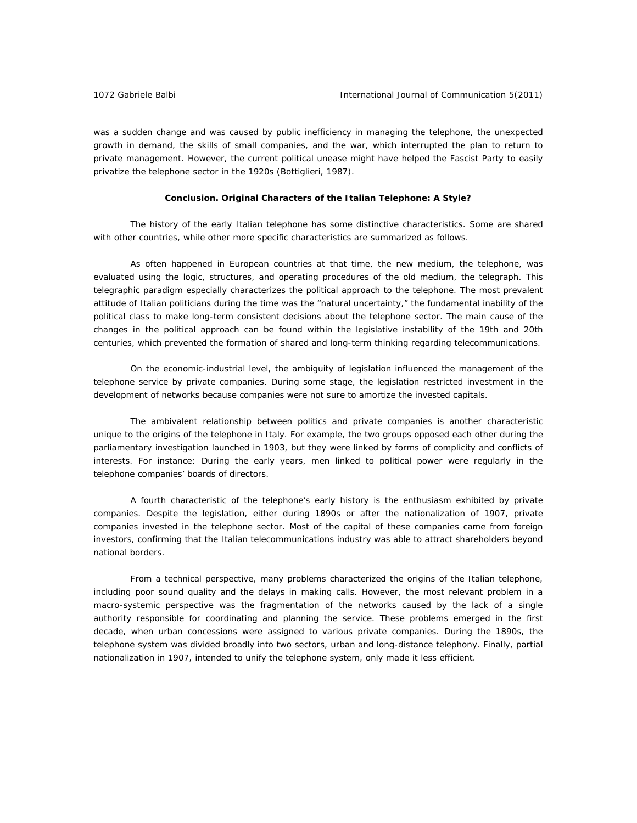was a sudden change and was caused by public inefficiency in managing the telephone, the unexpected growth in demand, the skills of small companies, and the war, which interrupted the plan to return to private management. However, the current political unease might have helped the Fascist Party to easily privatize the telephone sector in the 1920s (Bottiglieri, 1987).

#### **Conclusion. Original Characters of the Italian Telephone: A Style?**

The history of the early Italian telephone has some distinctive characteristics. Some are shared with other countries, while other more specific characteristics are summarized as follows.

As often happened in European countries at that time, the new medium, the telephone, was evaluated using the logic, structures, and operating procedures of the old medium, the telegraph. This telegraphic paradigm especially characterizes the political approach to the telephone. The most prevalent attitude of Italian politicians during the time was the "natural uncertainty," the fundamental inability of the political class to make long-term consistent decisions about the telephone sector. The main cause of the changes in the political approach can be found within the legislative instability of the 19th and 20th centuries, which prevented the formation of shared and long-term thinking regarding telecommunications.

On the economic-industrial level, the ambiguity of legislation influenced the management of the telephone service by private companies. During some stage, the legislation restricted investment in the development of networks because companies were not sure to amortize the invested capitals.

The ambivalent relationship between politics and private companies is another characteristic unique to the origins of the telephone in Italy. For example, the two groups opposed each other during the parliamentary investigation launched in 1903, but they were linked by forms of complicity and conflicts of interests. For instance: During the early years, men linked to political power were regularly in the telephone companies' boards of directors.

A fourth characteristic of the telephone's early history is the enthusiasm exhibited by private companies. Despite the legislation, either during 1890s or after the nationalization of 1907, private companies invested in the telephone sector. Most of the capital of these companies came from foreign investors, confirming that the Italian telecommunications industry was able to attract shareholders beyond national borders.

From a technical perspective, many problems characterized the origins of the Italian telephone, including poor sound quality and the delays in making calls. However, the most relevant problem in a macro-systemic perspective was the fragmentation of the networks caused by the lack of a single authority responsible for coordinating and planning the service. These problems emerged in the first decade, when urban concessions were assigned to various private companies. During the 1890s, the telephone system was divided broadly into two sectors, urban and long-distance telephony. Finally, partial nationalization in 1907, intended to unify the telephone system, only made it less efficient.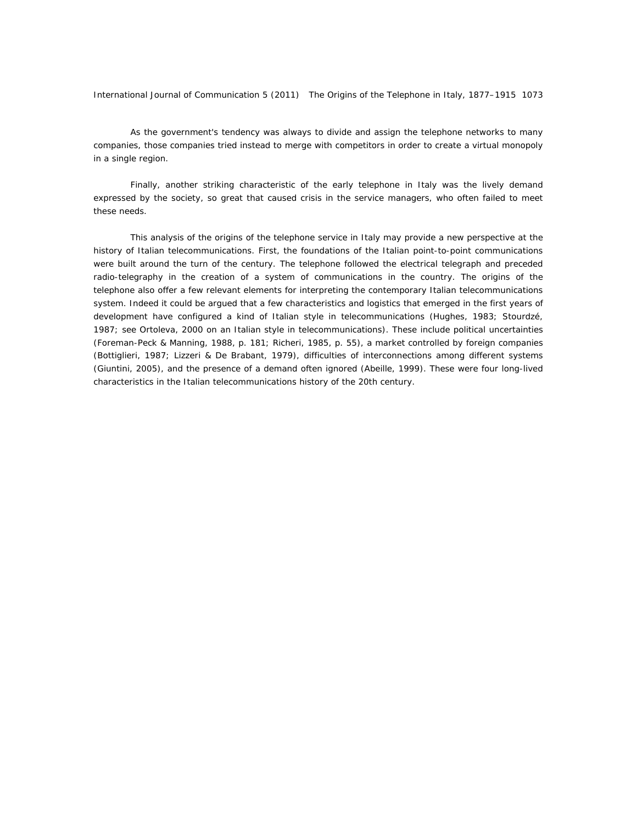As the government's tendency was always to divide and assign the telephone networks to many companies, those companies tried instead to merge with competitors in order to create a virtual monopoly in a single region.

Finally, another striking characteristic of the early telephone in Italy was the lively demand expressed by the society, so great that caused crisis in the service managers, who often failed to meet these needs.

This analysis of the origins of the telephone service in Italy may provide a new perspective at the history of Italian telecommunications. First, the foundations of the Italian point-to-point communications were built around the turn of the century. The telephone followed the electrical telegraph and preceded radio-telegraphy in the creation of a system of communications in the country. The origins of the telephone also offer a few relevant elements for interpreting the contemporary Italian telecommunications system. Indeed it could be argued that a few characteristics and logistics that emerged in the first years of development have configured a kind of Italian style in telecommunications (Hughes, 1983; Stourdzé, 1987; see Ortoleva, 2000 on an Italian style in telecommunications). These include political uncertainties (Foreman-Peck & Manning, 1988, p. 181; Richeri, 1985, p. 55), a market controlled by foreign companies (Bottiglieri, 1987; Lizzeri & De Brabant, 1979), difficulties of interconnections among different systems (Giuntini, 2005), and the presence of a demand often ignored (Abeille, 1999). These were four long-lived characteristics in the Italian telecommunications history of the 20th century.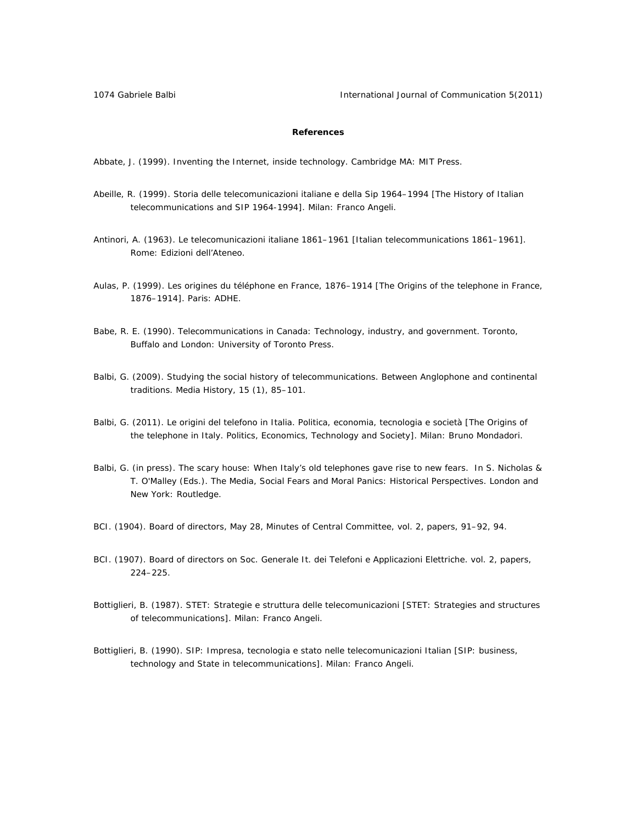1074 Gabriele Balbi International Journal of Communication 5(2011)

## **References**

Abbate, J. (1999). *Inventing the Internet*, *inside technology*. Cambridge MA: MIT Press.

- Abeille, R. (1999). *Storia delle telecomunicazioni italiane e della Sip 1964–1994* [The History of Italian telecommunications and SIP 1964-1994]. Milan: Franco Angeli.
- Antinori, A. (1963). *Le telecomunicazioni italiane 1861–1961* [Italian telecommunications 1861–1961]. Rome: Edizioni dell'Ateneo.
- Aulas, P. (1999). *Les origines du téléphone en France, 1876–1914* [The Origins of the telephone in France, 1876–1914]. Paris: ADHE.
- Babe, R. E. (1990). *Telecommunications in Canada: Technology, industry, and government.* Toronto, Buffalo and London: University of Toronto Press.
- Balbi, G. (2009). Studying the social history of telecommunications. Between Anglophone and continental traditions. *Media History*, *15* (1), 85–101.
- Balbi, G. (2011). *Le origini del telefono in Italia. Politica, economia, tecnologia e società* [The Origins of the telephone in Italy. Politics, Economics, Technology and Society]. Milan: Bruno Mondadori.
- Balbi, G. (in press). The scary house: When Italy's old telephones gave rise to new fears. In S. Nicholas & T. O'Malley (Eds.). *The Media, Social Fears and Moral Panics: Historical Perspectives*. London and New York: Routledge.
- BCI. (1904). *Board of directors, May 28, Minutes of Central Committee*, vol. 2, papers, 91–92, 94.
- BCI. (1907). *Board of directors on Soc. Generale It. dei Telefoni e Applicazioni Elettriche.* vol. 2, papers, 224–225.
- Bottiglieri, B. (1987). *STET: Strategie e struttura delle telecomunicazioni* [STET: Strategies and structures of telecommunications]. Milan: Franco Angeli.
- Bottiglieri, B. (1990). *SIP: Impresa, tecnologia e stato nelle telecomunicazioni Italian* [SIP: business, technology and State in telecommunications]. Milan: Franco Angeli.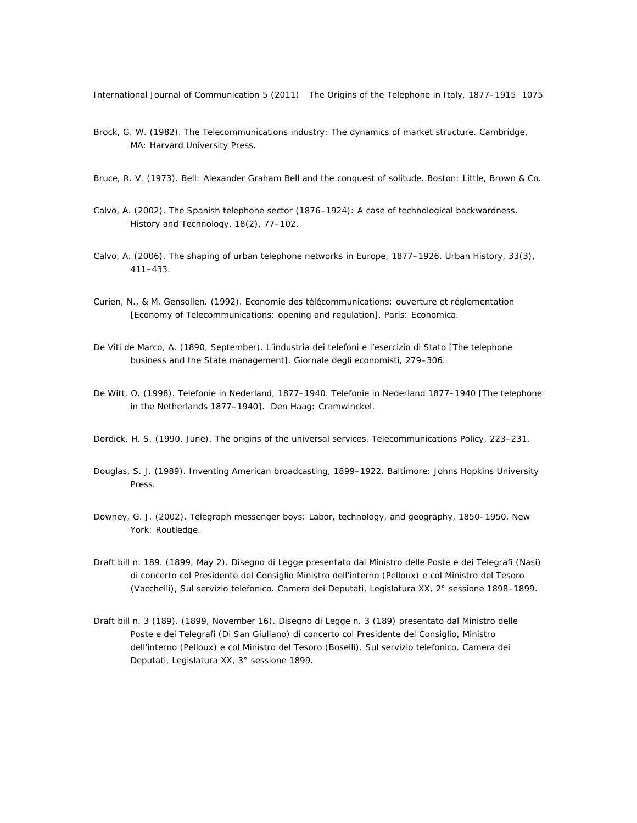- Brock, G. W. (1982). *The Telecommunications industry: The dynamics of market structure*. Cambridge, MA: Harvard University Press.
- Bruce, R. V. (1973). *Bell: Alexander Graham Bell and the conquest of solitude*. Boston: Little, Brown & Co.
- Calvo, A. (2002). The Spanish telephone sector (1876–1924): A case of technological backwardness. *History and Technology, 18*(2), 77–102.
- Calvo, A. (2006). The shaping of urban telephone networks in Europe, 1877–1926. *Urban History*, *33*(3), 411–433.
- Curien, N., & M. Gensollen. (1992). *Economie des télécommunications: ouverture et réglementation*  [Economy of Telecommunications: opening and regulation]. Paris: Economica.
- De Viti de Marco, A. (1890, September). L'industria dei telefoni e l'esercizio di Stato [The telephone business and the State management]. *Giornale degli economisti,* 279–306.
- De Witt, O. (1998). *Telefonie in Nederland, 1877–1940*. *Telefonie in Nederland 1877–1940* [The telephone in the Netherlands 1877–1940]. Den Haag: Cramwinckel.
- Dordick, H. S. (1990, June). The origins of the universal services. *Telecommunications Policy*, 223–231.
- Douglas, S. J. (1989). *Inventing American broadcasting, 1899–1922*. Baltimore: Johns Hopkins University Press.
- Downey, G. J. (2002). *Telegraph messenger boys: Labor, technology, and geography, 1850–1950*. New York: Routledge.
- Draft bill n. 189. (1899, May 2). *Disegno di Legge presentato dal Ministro delle Poste e dei Telegrafi (Nasi) di concerto col Presidente del Consiglio Ministro dell'interno (Pelloux) e col Ministro del Tesoro (Vacchelli), Sul servizio telefonico*. Camera dei Deputati, Legislatura XX, 2° sessione 1898–1899.
- Draft bill n. 3 (189). (1899, November 16). *Disegno di Legge n. 3 (189) presentato dal Ministro delle Poste e dei Telegrafi (Di San Giuliano) di concerto col Presidente del Consiglio, Ministro dell'interno (Pelloux) e col Ministro del Tesoro (Boselli). Sul servizio telefonico*. Camera dei Deputati, Legislatura XX, 3° sessione 1899.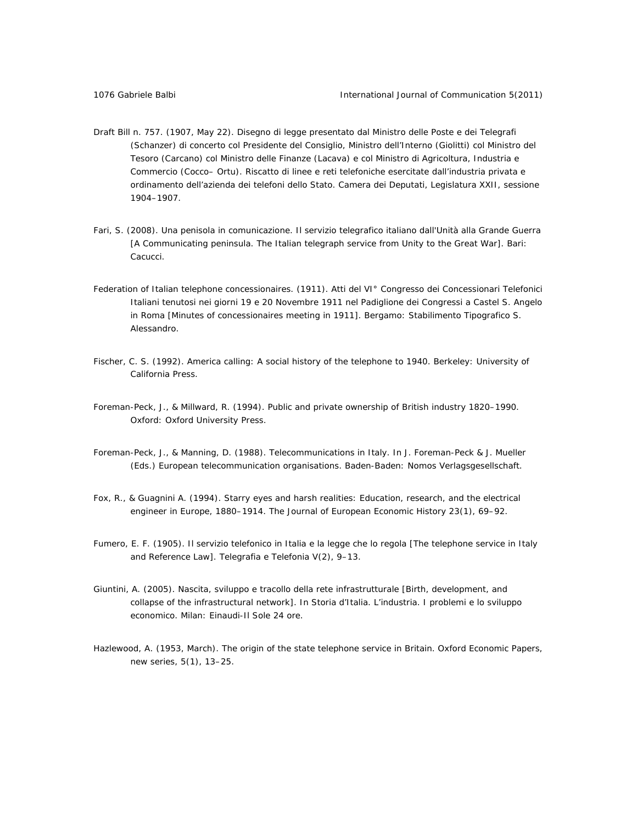- Draft Bill n. 757. (1907, May 22). *Disegno di legge presentato dal Ministro delle Poste e dei Telegrafi (Schanzer) di concerto col Presidente del Consiglio, Ministro dell'Interno (Giolitti) col Ministro del Tesoro (Carcano) col Ministro delle Finanze (Lacava) e col Ministro di Agricoltura, Industria e Commercio (Cocco– Ortu). Riscatto di linee e reti telefoniche esercitate dall'industria privata e ordinamento dell'azienda dei telefoni dello Stato*. Camera dei Deputati, Legislatura XXII, sessione 1904–1907.
- Fari, S. (2008). *Una penisola in comunicazione. Il servizio telegrafico italiano dall'Unità alla Grande Guerra*  [A Communicating peninsula. The Italian telegraph service from Unity to the Great War]. Bari: Cacucci.
- Federation of Italian telephone concessionaires. (1911). *Atti del VI° Congresso dei Concessionari Telefonici Italiani tenutosi nei giorni 19 e 20 Novembre 1911 nel Padiglione dei Congressi a Castel S. Angelo in Roma* [Minutes of concessionaires meeting in 1911]. Bergamo: Stabilimento Tipografico S. Alessandro.
- Fischer, C. S. (1992). *America calling: A social history of the telephone to 1940*. Berkeley: University of California Press.
- Foreman-Peck, J., & Millward, R. (1994). *Public and private ownership of British industry 1820–1990*. Oxford: Oxford University Press.
- Foreman-Peck, J., & Manning, D. (1988). Telecommunications in Italy. In J. Foreman-Peck & J. Mueller (Eds.) *European telecommunication organisations*. Baden-Baden: Nomos Verlagsgesellschaft.
- Fox, R., & Guagnini A. (1994). Starry eyes and harsh realities: Education, research, and the electrical engineer in Europe, 1880–1914. *The Journal of European Economic History 23*(1), 69–92.
- Fumero, E. F. (1905). Il servizio telefonico in Italia e la legge che lo regola [The telephone service in Italy and Reference Law]. *Telegrafia e Telefonia V*(2), 9–13.
- Giuntini, A. (2005). Nascita, sviluppo e tracollo della rete infrastrutturale [Birth, development, and collapse of the infrastructural network]. In *Storia d'Italia. L'industria. I problemi e lo sviluppo economico*. Milan: Einaudi-Il Sole 24 ore.
- Hazlewood, A. (1953, March). The origin of the state telephone service in Britain. *Oxford Economic Papers*, new series, *5*(1), 13–25.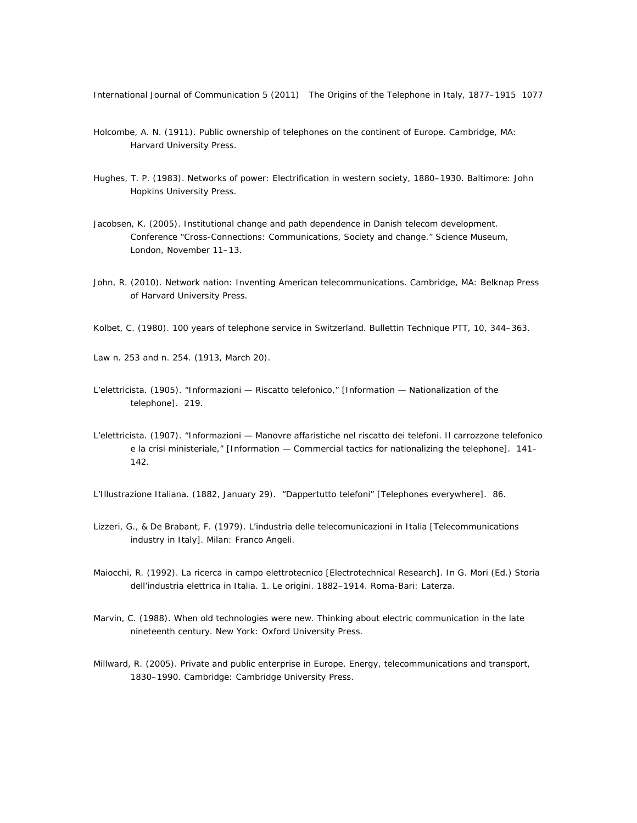- Holcombe, A. N. (1911). *Public ownership of telephones on the continent of Europe*. Cambridge, MA: Harvard University Press.
- Hughes, T. P. (1983). *Networks of power: Electrification in western society*, *1880–1930*. Baltimore: John Hopkins University Press.
- Jacobsen, K. (2005). *Institutional change and path dependence in Danish telecom development*. Conference "Cross-Connections: Communications, Society and change." Science Museum, London, November 11–13.
- John, R. (2010). *Network nation: Inventing American telecommunications*. Cambridge, MA: Belknap Press of Harvard University Press.
- Kolbet, C. (1980). 100 years of telephone service in Switzerland. *Bullettin Technique PTT*, *10*, 344–363.

Law n. 253 and n. 254. (1913, March 20).

- *L'elettricista.* (1905). "Informazioni Riscatto telefonico," [Information Nationalization of the telephone]. 219.
- *L'elettricista*. (1907). "Informazioni Manovre affaristiche nel riscatto dei telefoni. Il carrozzone telefonico e la crisi ministeriale," [Information — Commercial tactics for nationalizing the telephone]. 141– 142.

*L'Illustrazione Italiana*. (1882, January 29). "Dappertutto telefoni" [Telephones everywhere]. 86.

- Lizzeri, G., & De Brabant, F. (1979). *L'industria delle telecomunicazioni in Italia* [Telecommunications industry in Italy]. Milan: Franco Angeli.
- Maiocchi, R. (1992). La ricerca in campo elettrotecnico [Electrotechnical Research]. In G. Mori (Ed.) *Storia dell'industria elettrica in Italia. 1. Le origini. 1882–1914*. Roma-Bari: Laterza.
- Marvin, C. (1988). *When old technologies were new. Thinking about electric communication in the late nineteenth century*. New York: Oxford University Press.
- Millward, R. (2005). *Private and public enterprise in Europe. Energy, telecommunications and transport, 1830–1990*. Cambridge: Cambridge University Press.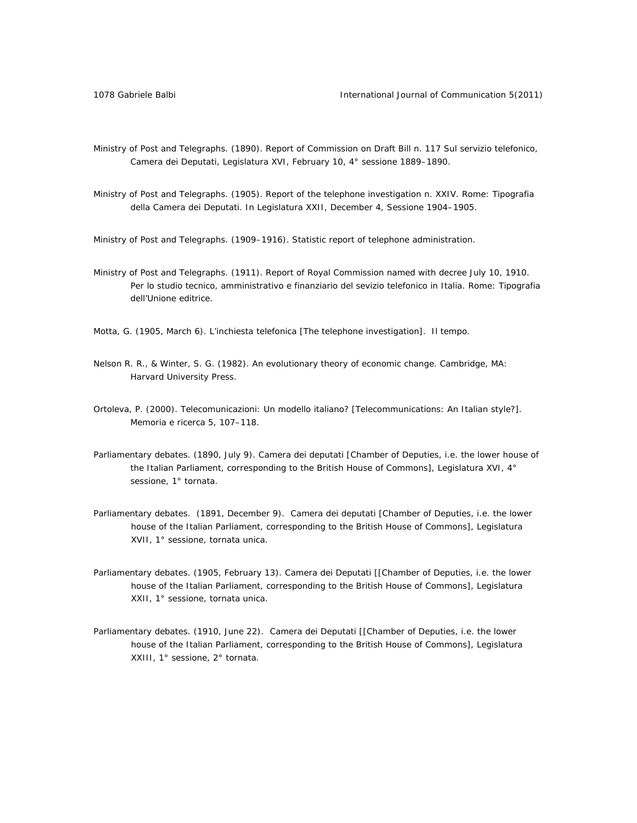- Ministry of Post and Telegraphs. (1890). *Report of Commission on Draft Bill n. 117 Sul servizio telefonic*o, Camera dei Deputati, Legislatura XVI, February 10, 4° sessione 1889*–*1890.
- Ministry of Post and Telegraphs. (1905). *Report of the telephone investigation n. XXIV*. Rome: Tipografia della Camera dei Deputati. In Legislatura XXII, December 4, Sessione 1904–1905.

Ministry of Post and Telegraphs. (1909–1916). *Statistic report of telephone administration*.

Ministry of Post and Telegraphs. (1911). *Report of Royal Commission named with decree July 10, 1910. Per lo studio tecnico, amministrativo e finanziario del sevizio telefonico in Italia*. Rome: Tipografia dell'Unione editrice.

Motta, G. (1905, March 6). L'inchiesta telefonica [The telephone investigation]. *Il tempo*.

- Nelson R. R., & Winter, S. G. (1982). *An evolutionary theory of economic change*. Cambridge, MA: Harvard University Press.
- Ortoleva, P. (2000). Telecomunicazioni: Un modello italiano? [Telecommunications: An Italian style?]. *Memoria e ricerca 5*, 107–118.
- Parliamentary debates. (1890, July 9). Camera dei deputati [Chamber of Deputies, i.e. the lower house of the Italian Parliament, corresponding to the British House of Commons], Legislatura XVI, 4° sessione, 1° tornata.
- Parliamentary debates. (1891, December 9). Camera dei deputati [Chamber of Deputies, i.e. the lower house of the Italian Parliament, corresponding to the British House of Commons], Legislatura XVII, 1° sessione, tornata unica.
- Parliamentary debates. (1905, February 13). Camera dei Deputati [[Chamber of Deputies, i.e. the lower house of the Italian Parliament, corresponding to the British House of Commons], Legislatura XXII, 1° sessione, tornata unica.
- Parliamentary debates. (1910, June 22). Camera dei Deputati [[Chamber of Deputies, i.e. the lower house of the Italian Parliament, corresponding to the British House of Commons], Legislatura XXIII, 1° sessione, 2° tornata.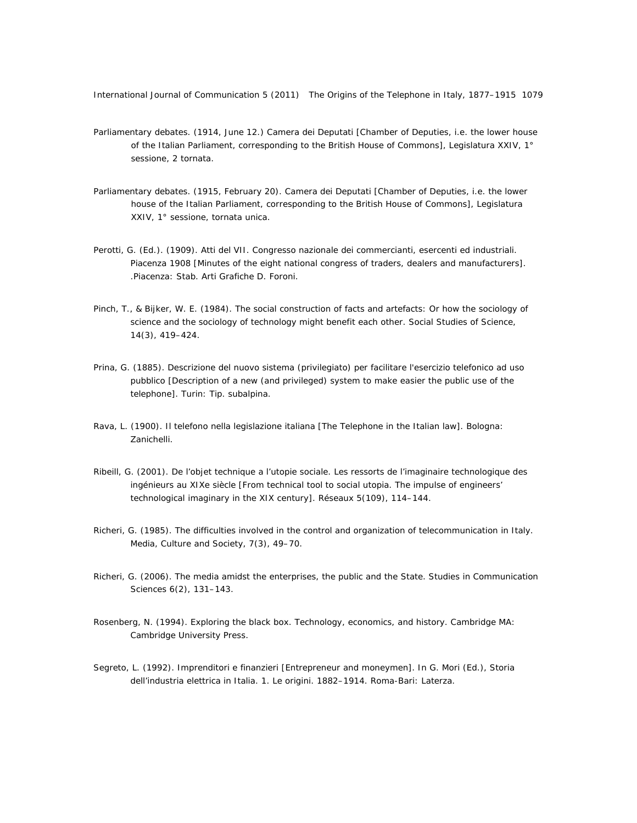- Parliamentary debates. (1914, June 12.) Camera dei Deputati [Chamber of Deputies, i.e. the lower house of the Italian Parliament, corresponding to the British House of Commons], Legislatura XXIV, 1° sessione, 2 tornata.
- Parliamentary debates. (1915, February 20). Camera dei Deputati [Chamber of Deputies, i.e. the lower house of the Italian Parliament, corresponding to the British House of Commons], Legislatura XXIV, 1° sessione, tornata unica.
- Perotti, G. (Ed.). (1909). *Atti del VII. Congresso nazionale dei commercianti, esercenti ed industriali. Piacenza 1908* [Minutes of the eight national congress of traders, dealers and manufacturers]. .Piacenza: Stab. Arti Grafiche D. Foroni.
- Pinch, T., & Bijker, W. E. (1984). The social construction of facts and artefacts: Or how the sociology of science and the sociology of technology might benefit each other. *Social Studies of Science, 14*(3), 419–424.
- Prina, G. (1885). *Descrizione del nuovo sistema (privilegiato) per facilitare l'esercizio telefonico ad uso pubblico* [Description of a new (and privileged) system to make easier the public use of the telephone]. Turin: Tip. subalpina.
- Rava, L. (1900). *Il telefono nella legislazione italiana* [The Telephone in the Italian law]. Bologna: Zanichelli.
- Ribeill, G. (2001). De l'objet technique a l'utopie sociale. Les ressorts de l'imaginaire technologique des ingénieurs au XIXe siècle [From technical tool to social utopia. The impulse of engineers' technological imaginary in the XIX century]. *Réseaux 5*(109), 114–144.
- Richeri, G. (1985). The difficulties involved in the control and organization of telecommunication in Italy. *Media, Culture and Society*, *7*(3), 49–70.
- Richeri, G. (2006). The media amidst the enterprises, the public and the State. *Studies in Communication Sciences 6*(2), 131–143.
- Rosenberg, N. (1994). *Exploring the black box. Technology, economics, and history*. Cambridge MA: Cambridge University Press.
- Segreto, L. (1992). Imprenditori e finanzieri [Entrepreneur and moneymen]. In G. Mori (Ed.), *Storia dell'industria elettrica in Italia. 1. Le origini. 1882–1914*. Roma-Bari: Laterza.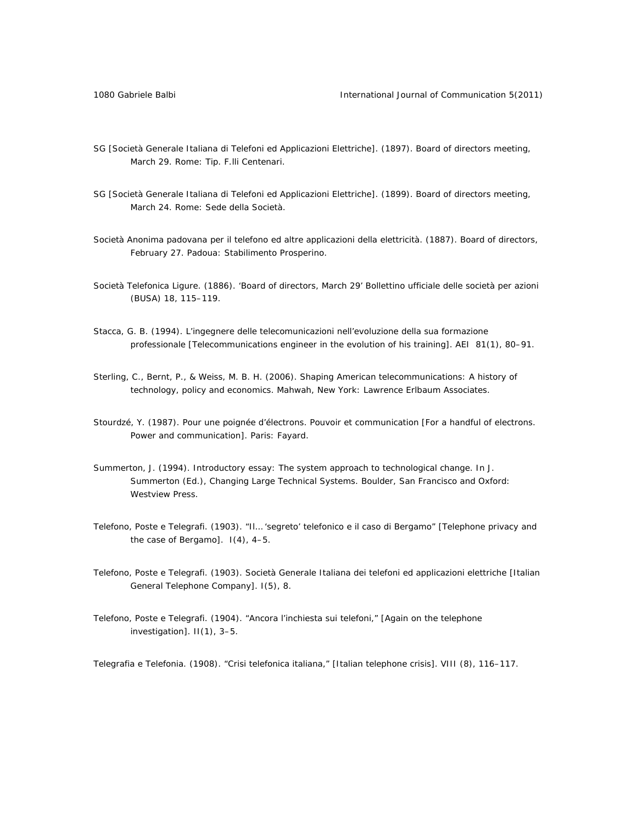- SG [Società Generale Italiana di Telefoni ed Applicazioni Elettriche]. (1897). *Board of directors meeting, March 29.* Rome: Tip. F.lli Centenari.
- SG [Società Generale Italiana di Telefoni ed Applicazioni Elettriche]. (1899). *Board of directors meeting, March 24*. Rome: Sede della Società.
- Società Anonima padovana per il telefono ed altre applicazioni della elettricità. (1887). *Board of directors, February 27.* Padoua: Stabilimento Prosperino.
- Società Telefonica Ligure. (1886). 'Board of directors, March 29' *Bollettino ufficiale delle società per azioni (BUSA) 18*, 115–119.
- Stacca, G. B. (1994). L'ingegnere delle telecomunicazioni nell'evoluzione della sua formazione professionale [Telecommunications engineer in the evolution of his training]. *AEI 81*(1), 80–91.
- Sterling, C., Bernt, P., & Weiss, M. B. H. (2006). *Shaping American telecommunications: A history of technology, policy and economics*. Mahwah, New York: Lawrence Erlbaum Associates.
- Stourdzé, Y. (1987). Pour une poignée d'électrons. Pouvoir et communication [For a handful of electrons. Power and communication]. Paris: Fayard.
- Summerton, J. (1994). Introductory essay: The system approach to technological change. In J. Summerton (Ed.), *Changing Large Technical Systems*. Boulder, San Francisco and Oxford: Westview Press.
- *Telefono, Poste e Telegrafi*. (1903). "Il… 'segreto' telefonico e il caso di Bergamo" [Telephone privacy and the case of Bergamo]. *I*(4), 4–5.
- *Telefono, Poste e Telegrafi*. (1903). Società Generale Italiana dei telefoni ed applicazioni elettriche [Italian General Telephone Company]. *I*(5), 8.
- *Telefono, Poste e Telegrafi*. (1904). "Ancora l'inchiesta sui telefoni," [Again on the telephone investigation]. *II*(1), 3–5.

*Telegrafia e Telefonia*. (1908). "Crisi telefonica italiana," [Italian telephone crisis]. *VIII* (8), 116–117.